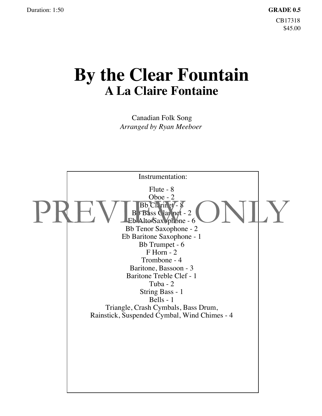## **By the Clear Fountain A La Claire Fontaine**

*Arranged by Ryan Meeboer* Canadian Folk Song

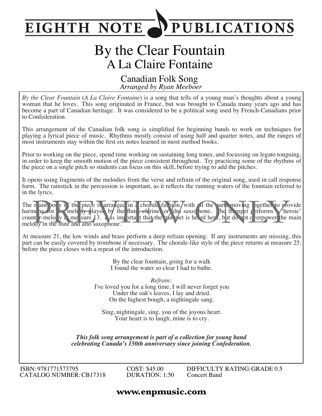PUBLICATIONS **EIGHTH NOTE** 

## By the Clear Fountain A La Claire Fontaine

## *Arranged by Ryan Meeboer* Canadian Folk Song

*By the Clear Fountain* (*A La Claire Fontaine*) is a song that tells of a young man's thoughts about a young woman that he loves. This song originated in France, but was brought to Canada many years ago and has become a part of Canadian heritage. It was considered to be a political song used by French-Canadians prior to Confederation.

This arrangement of the Canadian folk song is simplified for beginning bands to work on techniques for playing a lyrical piece of music. Rhythms mostly consist of using half and quarter notes, and the ranges of most instruments stay within the first six notes learned in most method books.

Prior to working on the piece, spend time working on sustaining long tones, and focussing on legato tonguing, in order to keep the smooth motion of the piece consistent throughout. Try practicing some of the rhythms of the piece on a single pitch so students can focus on this skill, before trying to add the pitches.

It opens using fragments of the melodies from the verse and refrain of the original song, used in call response form. The rainstick in the percussion is important, as it reflects the running waters of the fountain referred to in the lyrics.

The n ain body of the piece is arranged in a chorale fastion, with all the parts moving together to provide harmony for the melody played by the flute, clarined or alto saxophone. The trumpet performs theroic' counter-melody a measure 13. It is important that the trumpet is heard here, but do not overpower the main melody in the flute and alto saxophone. I ain you of the piece is arranged in a chorale fat ulon, with all the part, moving by gethet to provide the melody of the flute extra fine or alto saxo hone. The the mpet performs the terms of the saxo hone. The terms of

At measure 21, the low winds and brass perform a deep refrain opening. If any instruments are missing, this part can be easily covered by trombone if necessary. The chorale-like style of the piece returns at measure 25, before the piece closes with a repeat of the introduction.

> By the clear fountain, going for a walk I found the water so clear I had to bathe.

*Refrain:* I've loved you for a long time, I will never forget you Under the oak's leaves, I lay and dried. On the highest bough, a nightingale sang.

Sing, nightingale, sing, you of the joyous heart. Your heart is to laugh, mine is to cry.

*This folk song arrangement is part of a collection for young band celebrating Canada's 150th anniversary since joining Confederation.*

ISBN: 9781771573795 CATALOG NUMBER:CB17318 COST: \$45.00 DURATION: 1:50

DIFFICULTY RATING:GRADE 0.5 Concert Band

## **www.enpmusic.com**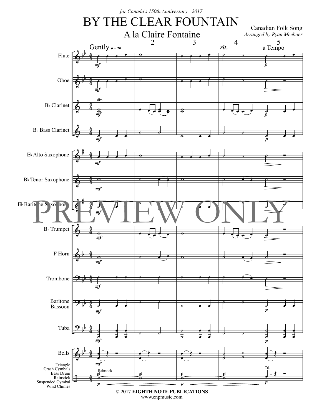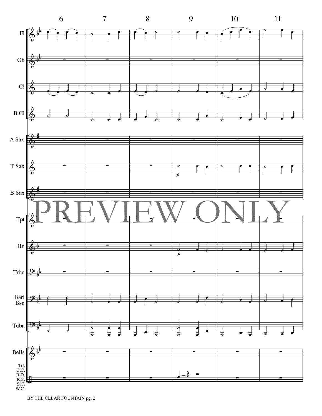

BY THE CLEAR FOUNTAIN pg. 2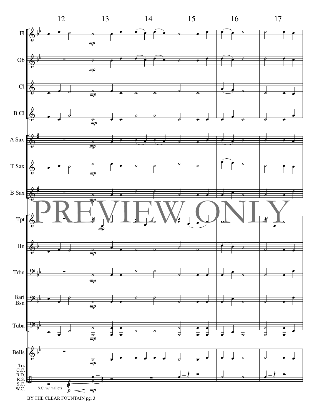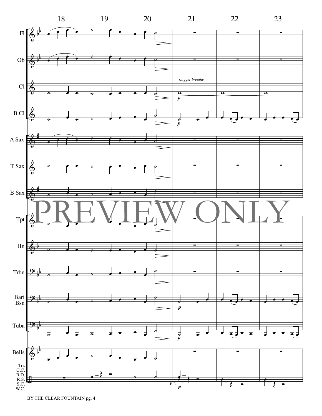

BY THE CLEAR FOUNTAIN pg. 4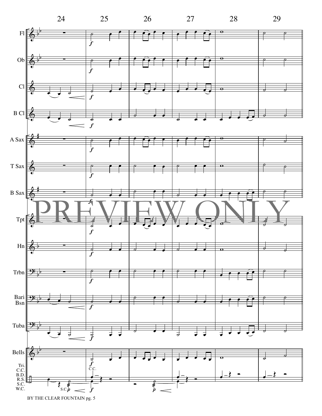![](_page_6_Figure_0.jpeg)